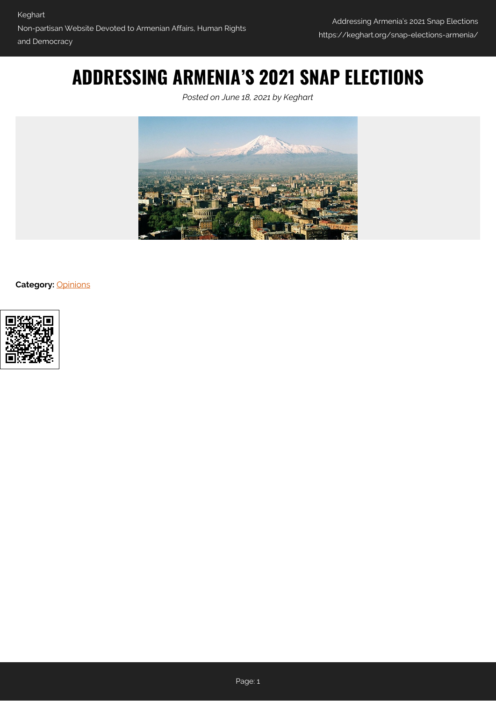# **ADDRESSING ARMENIA'S 2021 SNAP ELECTIONS**

*Posted on June 18, 2021 by Keghart*



**Category:** [Opinions](https://keghart.org/category/opinions/)

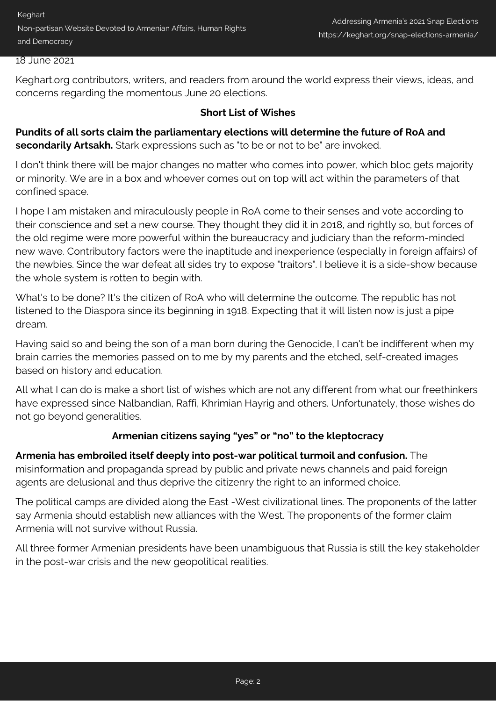Keghart Non-partisan Website Devoted to Armenian Affairs, Human Rights and Democracy

#### 18 June 2021

Keghart.org contributors, writers, and readers from around the world express their views, ideas, and concerns regarding the momentous June 20 elections.

#### **Short List of Wishes**

**Pundits of all sorts claim the parliamentary elections will determine the future of RoA and** secondarily Artsakh. Stark expressions such as "to be or not to be" are invoked.

I don't think there will be major changes no matter who comes into power, which bloc gets majority or minority. We are in a box and whoever comes out on top will act within the parameters of that confined space.

I hope I am mistaken and miraculously people in RoA come to their senses and vote according to their conscience and set a new course. They thought they did it in 2018, and rightly so, but forces of the old regime were more powerful within the bureaucracy and judiciary than the reform-minded new wave. Contributory factors were the inaptitude and inexperience (especially in foreign affairs) of the newbies. Since the war defeat all sides try to expose "traitors". I believe it is a side-show because the whole system is rotten to begin with.

What's to be done? It's the citizen of RoA who will determine the outcome. The republic has not listened to the Diaspora since its beginning in 1918. Expecting that it will listen now is just a pipe dream.

Having said so and being the son of a man born during the Genocide, I can't be indifferent when my brain carries the memories passed on to me by my parents and the etched, self-created images based on history and education.

All what I can do is make a short list of wishes which are not any different from what our freethinkers have expressed since Nalbandian, Raffi, Khrimian Hayrig and others. Unfortunately, those wishes do not go beyond generalities.

#### **Armenian citizens saying "yes" or "no" to the kleptocracy**

**Armenia has embroiled itself deeply into post-war political turmoil and confusion.** The misinformation and propaganda spread by public and private news channels and paid foreign agents are delusional and thus deprive the citizenry the right to an informed choice.

The political camps are divided along the East -West civilizational lines. The proponents of the latter say Armenia should establish new alliances with the West. The proponents of the former claim Armenia will not survive without Russia.

All three former Armenian presidents have been unambiguous that Russia is still the key stakeholder in the post-war crisis and the new geopolitical realities.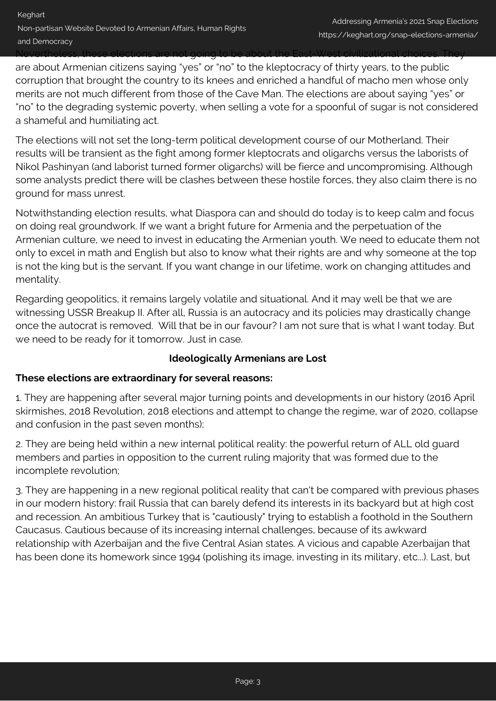Nevertheless, these elections are not going to be about the East-West civilizational choices. They are about Armenian citizens saying "yes" or "no" to the kleptocracy of thirty years, to the public corruption that brought the country to its knees and enriched a handful of macho men whose only merits are not much different from those of the Cave Man. The elections are about saying "yes" or "no" to the degrading systemic poverty, when selling a vote for a spoonful of sugar is not considered a shameful and humiliating act.

The elections will not set the long-term political development course of our Motherland. Their results will be transient as the fight among former kleptocrats and oligarchs versus the laborists of Nikol Pashinyan (and laborist turned former oligarchs) will be fierce and uncompromising. Although some analysts predict there will be clashes between these hostile forces, they also claim there is no ground for mass unrest.

Notwithstanding election results, what Diaspora can and should do today is to keep calm and focus on doing real groundwork. If we want a bright future for Armenia and the perpetuation of the Armenian culture, we need to invest in educating the Armenian youth. We need to educate them not only to excel in math and English but also to know what their rights are and why someone at the top is not the king but is the servant. If you want change in our lifetime, work on changing attitudes and mentality.

Regarding geopolitics, it remains largely volatile and situational. And it may well be that we are witnessing USSR Breakup II. After all, Russia is an autocracy and its policies may drastically change once the autocrat is removed. Will that be in our favour? I am not sure that is what I want today. But we need to be ready for it tomorrow. Just in case.

## **Ideologically Armenians are Lost**

#### **These elections are extraordinary for several reasons:**

1. They are happening after several major turning points and developments in our history (2016 April skirmishes, 2018 Revolution, 2018 elections and attempt to change the regime, war of 2020, collapse and confusion in the past seven months);

2. They are being held within a new internal political reality: the powerful return of ALL old guard members and parties in opposition to the current ruling majority that was formed due to the incomplete revolution;

3. They are happening in a new regional political reality that can't be compared with previous phases in our modern history: frail Russia that can barely defend its interests in its backyard but at high cost and recession. An ambitious Turkey that is "cautiously" trying to establish a foothold in the Southern Caucasus. Cautious because of its increasing internal challenges, because of its awkward relationship with Azerbaijan and the five Central Asian states. A vicious and capable Azerbaijan that has been done its homework since 1994 (polishing its image, investing in its military, etc...). Last, but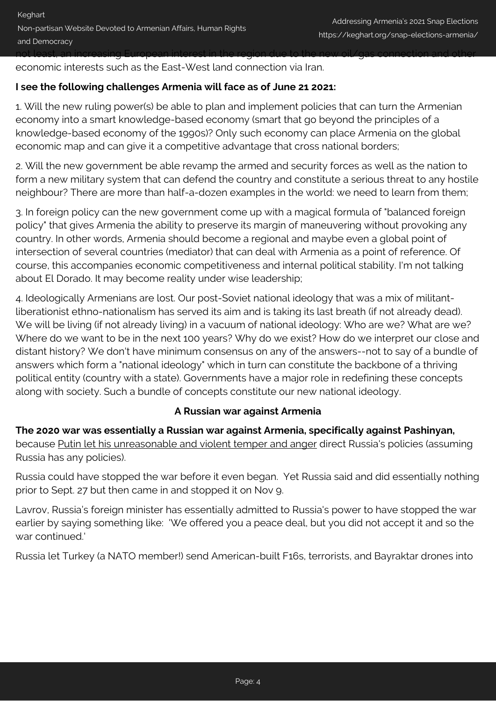not least, an increasing European interest in the region due to the new oil/gas connection and other economic interests such as the East-West land connection via Iran.

#### **I see the following challenges Armenia will face as of June 21 2021:**

1. Will the new ruling power(s) be able to plan and implement policies that can turn the Armenian economy into a smart knowledge-based economy (smart that go beyond the principles of a knowledge-based economy of the 1990s)? Only such economy can place Armenia on the global economic map and can give it a competitive advantage that cross national borders;

2. Will the new government be able revamp the armed and security forces as well as the nation to form a new military system that can defend the country and constitute a serious threat to any hostile neighbour? There are more than half-a-dozen examples in the world: we need to learn from them;

3. In foreign policy can the new government come up with a magical formula of "balanced foreign policy" that gives Armenia the ability to preserve its margin of maneuvering without provoking any country. In other words, Armenia should become a regional and maybe even a global point of intersection of several countries (mediator) that can deal with Armenia as a point of reference. Of course, this accompanies economic competitiveness and internal political stability. I'm not talking about El Dorado. It may become reality under wise leadership;

4. Ideologically Armenians are lost. Our post-Soviet national ideology that was a mix of militantliberationist ethno-nationalism has served its aim and is taking its last breath (if not already dead). We will be living (if not already living) in a vacuum of national ideology: Who are we? What are we? Where do we want to be in the next 100 years? Why do we exist? How do we interpret our close and distant history? We don't have minimum consensus on any of the answers--not to say of a bundle of answers which form a "national ideology" which in turn can constitute the backbone of a thriving political entity (country with a state). Governments have a major role in redefining these concepts along with society. Such a bundle of concepts constitute our new national ideology.

#### **A Russian war against Armenia**

**The 2020 war was essentially a Russian war against Armenia, specifically against Pashinyan,** because Putin let his unreasonable and violent temper and anger direct Russia's policies (assuming Russia has any policies).

Russia could have stopped the war before it even began. Yet Russia said and did essentially nothing prior to Sept. 27 but then came in and stopped it on Nov 9.

Lavrov, Russia's foreign minister has essentially admitted to Russia's power to have stopped the war earlier by saying something like: 'We offered you a peace deal, but you did not accept it and so the war continued.'

Russia let Turkey (a NATO member!) send American-built F16s, terrorists, and Bayraktar drones into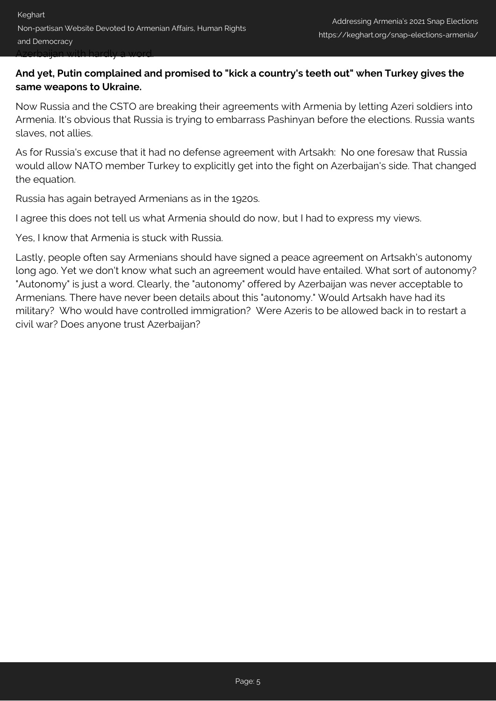### **And yet, Putin complained and promised to "kick a country's teeth out" when Turkey gives the same weapons to Ukraine.**

Now Russia and the CSTO are breaking their agreements with Armenia by letting Azeri soldiers into Armenia. It's obvious that Russia is trying to embarrass Pashinyan before the elections. Russia wants slaves, not allies.

As for Russia's excuse that it had no defense agreement with Artsakh: No one foresaw that Russia would allow NATO member Turkey to explicitly get into the fight on Azerbaijan's side. That changed the equation.

Russia has again betrayed Armenians as in the 1920s.

I agree this does not tell us what Armenia should do now, but I had to express my views.

Yes, I know that Armenia is stuck with Russia.

Lastly, people often say Armenians should have signed a peace agreement on Artsakh's autonomy long ago. Yet we don't know what such an agreement would have entailed. What sort of autonomy? "Autonomy" is just a word. Clearly, the "autonomy" offered by Azerbaijan was never acceptable to Armenians. There have never been details about this "autonomy." Would Artsakh have had its military? Who would have controlled immigration? Were Azeris to be allowed back in to restart a civil war? Does anyone trust Azerbaijan?